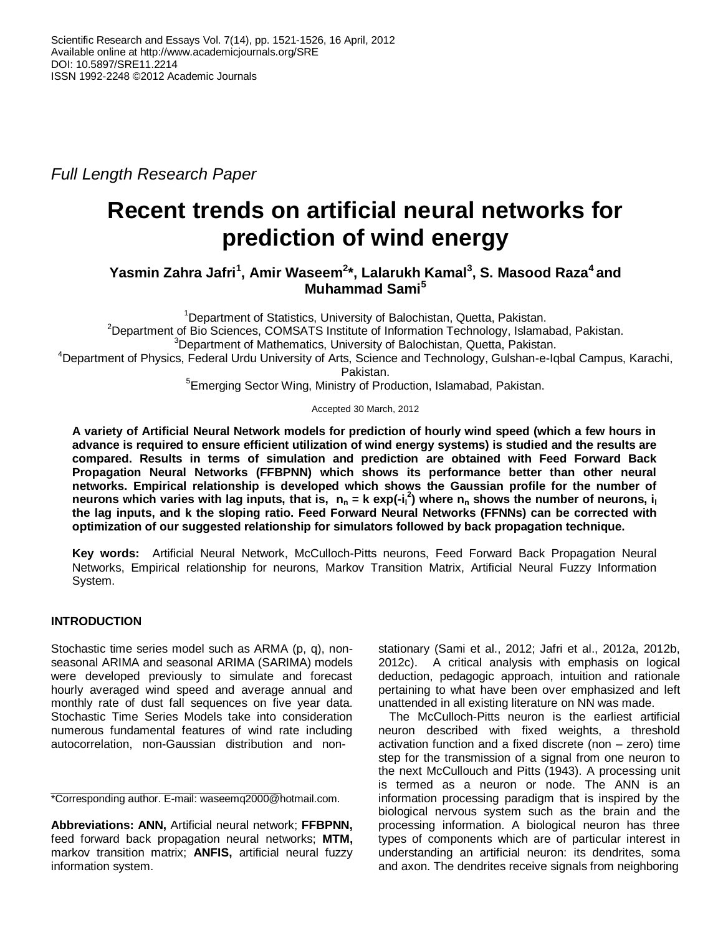*Full Length Research Paper*

# **Recent trends on artificial neural networks for prediction of wind energy**

**Yasmin Zahra Jafri<sup>1</sup> , Amir Waseem<sup>2</sup> \*, Lalarukh Kamal<sup>3</sup> , S. Masood Raza<sup>4</sup> and Muhammad Sami<sup>5</sup>**

<sup>1</sup>Department of Statistics, University of Balochistan, Quetta, Pakistan. <sup>2</sup>Department of Bio Sciences, COMSATS Institute of Information Technology, Islamabad, Pakistan. <sup>3</sup>Department of Mathematics, University of Balochistan, Quetta, Pakistan.

<sup>4</sup>Department of Physics, Federal Urdu University of Arts, Science and Technology, Gulshan-e-Iqbal Campus, Karachi, Pakistan.

<sup>5</sup>Emerging Sector Wing, Ministry of Production, Islamabad, Pakistan.

Accepted 30 March, 2012

**A variety of Artificial Neural Network models for prediction of hourly wind speed (which a few hours in advance is required to ensure efficient utilization of wind energy systems) is studied and the results are compared. Results in terms of simulation and prediction are obtained with Feed Forward Back Propagation Neural Networks (FFBPNN) which shows its performance better than other neural networks. Empirical relationship is developed which shows the Gaussian profile for the number of neurons which varies with lag inputs, that is, n<sup>n</sup> = k exp(-i<sup>l</sup> 2 ) where n<sup>n</sup> shows the number of neurons, i<sup>l</sup> the lag inputs, and k the sloping ratio. Feed Forward Neural Networks (FFNNs) can be corrected with optimization of our suggested relationship for simulators followed by back propagation technique.**

**Key words:** Artificial Neural Network, McCulloch-Pitts neurons, Feed Forward Back Propagation Neural Networks, Empirical relationship for neurons, Markov Transition Matrix, Artificial Neural Fuzzy Information System.

## **INTRODUCTION**

Stochastic time series model such as ARMA (p, q), nonseasonal ARIMA and seasonal ARIMA (SARIMA) models were developed previously to simulate and forecast hourly averaged wind speed and average annual and monthly rate of dust fall sequences on five year data. Stochastic Time Series Models take into consideration numerous fundamental features of wind rate including autocorrelation, non-Gaussian distribution and non-

\*Corresponding author. E-mail: waseemq2000@hotmail.com.

**Abbreviations: ANN,** Artificial neural network; **FFBPNN,** feed forward back propagation neural networks; **MTM,** markov transition matrix; **ANFIS,** artificial neural fuzzy information system.

stationary (Sami et al., 2012; Jafri et al., 2012a, 2012b, 2012c). A critical analysis with emphasis on logical deduction, pedagogic approach, intuition and rationale pertaining to what have been over emphasized and left unattended in all existing literature on NN was made.

The McCulloch-Pitts neuron is the earliest artificial neuron described with fixed weights, a threshold activation function and a fixed discrete (non – zero) time step for the transmission of a signal from one neuron to the next McCullouch and Pitts (1943). A processing unit is termed as a neuron or node. The ANN is an information processing paradigm that is inspired by the biological nervous system such as the brain and the processing information. A biological neuron has three types of components which are of particular interest in understanding an artificial neuron: its dendrites, soma and axon. The dendrites receive signals from neighboring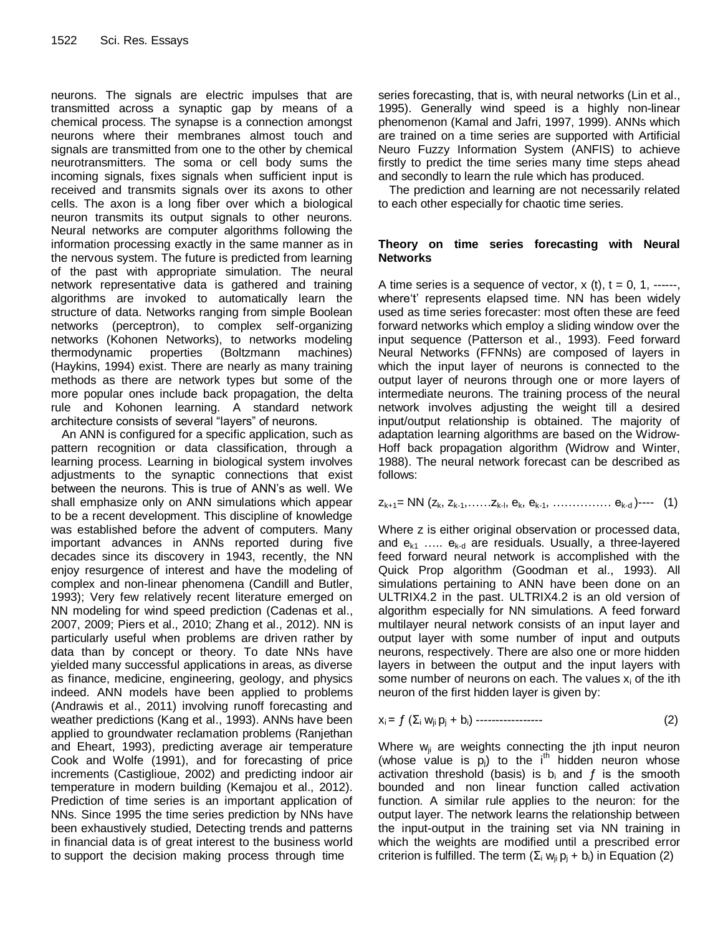neurons. The signals are electric impulses that are transmitted across a synaptic gap by means of a chemical process. The synapse is a connection amongst neurons where their membranes almost touch and signals are transmitted from one to the other by chemical neurotransmitters. The soma or cell body sums the incoming signals, fixes signals when sufficient input is received and transmits signals over its axons to other cells. The axon is a long fiber over which a biological neuron transmits its output signals to other neurons. Neural networks are computer algorithms following the information processing exactly in the same manner as in the nervous system. The future is predicted from learning of the past with appropriate simulation. The neural network representative data is gathered and training algorithms are invoked to automatically learn the structure of data. Networks ranging from simple Boolean networks (perceptron), to complex self-organizing networks (Kohonen Networks), to networks modeling thermodynamic properties (Boltzmann machines) (Haykins, 1994) exist. There are nearly as many training methods as there are network types but some of the more popular ones include back propagation, the delta rule and Kohonen learning. A standard network architecture consists of several "layers" of neurons.

An ANN is configured for a specific application, such as pattern recognition or data classification, through a learning process. Learning in biological system involves adjustments to the synaptic connections that exist between the neurons. This is true of ANN's as well. We shall emphasize only on ANN simulations which appear to be a recent development. This discipline of knowledge was established before the advent of computers. Many important advances in ANNs reported during five decades since its discovery in 1943, recently, the NN enjoy resurgence of interest and have the modeling of complex and non-linear phenomena (Candill and Butler, 1993); Very few relatively recent literature emerged on NN modeling for wind speed prediction (Cadenas et al., 2007, 2009; Piers et al., 2010; Zhang et al., 2012). NN is particularly useful when problems are driven rather by data than by concept or theory. To date NNs have yielded many successful applications in areas, as diverse as finance, medicine, engineering, geology, and physics indeed. ANN models have been applied to problems (Andrawis et al., 2011) involving runoff forecasting and weather predictions (Kang et al., 1993). ANNs have been applied to groundwater reclamation problems (Ranjethan and Eheart, 1993), predicting average air temperature Cook and Wolfe (1991), and for forecasting of price increments (Castiglioue, 2002) and predicting indoor air temperature in modern building (Kemajou et al., 2012). Prediction of time series is an important application of NNs. Since 1995 the time series prediction by NNs have been exhaustively studied, Detecting trends and patterns in financial data is of great interest to the business world to support the decision making process through time

series forecasting, that is, with neural networks (Lin et al., 1995). Generally wind speed is a highly non-linear phenomenon (Kamal and Jafri, 1997, 1999). ANNs which are trained on a time series are supported with Artificial Neuro Fuzzy Information System (ANFIS) to achieve firstly to predict the time series many time steps ahead and secondly to learn the rule which has produced.

The prediction and learning are not necessarily related to each other especially for chaotic time series.

#### **Theory on time series forecasting with Neural Networks**

A time series is a sequence of vector,  $x$  (t),  $t = 0, 1,$  -----, where't' represents elapsed time. NN has been widely used as time series forecaster: most often these are feed forward networks which employ a sliding window over the input sequence (Patterson et al., 1993). Feed forward Neural Networks (FFNNs) are composed of layers in which the input layer of neurons is connected to the output layer of neurons through one or more layers of intermediate neurons. The training process of the neural network involves adjusting the weight till a desired input/output relationship is obtained. The majority of adaptation learning algorithms are based on the Widrow-Hoff back propagation algorithm (Widrow and Winter, 1988). The neural network forecast can be described as follows:

## $z_{k+1}$ = NN ( $z_k$ ,  $z_{k-1}$ , ..... $z_{k-1}$ ,  $e_k$ ,  $e_{k-1}$ , ................  $e_{k-d}$ )---- (1)

Where z is either original observation or processed data, and  $e_{k1}$  .....  $e_{k-d}$  are residuals. Usually, a three-layered feed forward neural network is accomplished with the Quick Prop algorithm (Goodman et al., 1993). All simulations pertaining to ANN have been done on an ULTRIX4.2 in the past. ULTRIX4.2 is an old version of algorithm especially for NN simulations. A feed forward multilayer neural network consists of an input layer and output layer with some number of input and outputs neurons, respectively. There are also one or more hidden layers in between the output and the input layers with some number of neurons on each. The values  $x_i$  of the ith neuron of the first hidden layer is given by:

$$
x_i = f(\sum_i w_{ji} p_j + b_i) \cdots \cdots \cdots \cdots \cdots \cdots \qquad (2)
$$

Where  $w_{ii}$  are weights connecting the jth input neuron (whose value is  $p_i$ ) to the  $i<sup>th</sup>$  hidden neuron whose activation threshold (basis) is  $b_i$  and  $f$  is the smooth bounded and non linear function called activation function. A similar rule applies to the neuron: for the output layer. The network learns the relationship between the input-output in the training set via NN training in which the weights are modified until a prescribed error criterion is fulfilled. The term  $(\Sigma_i w_{ii} p_i + b_i)$  in Equation (2)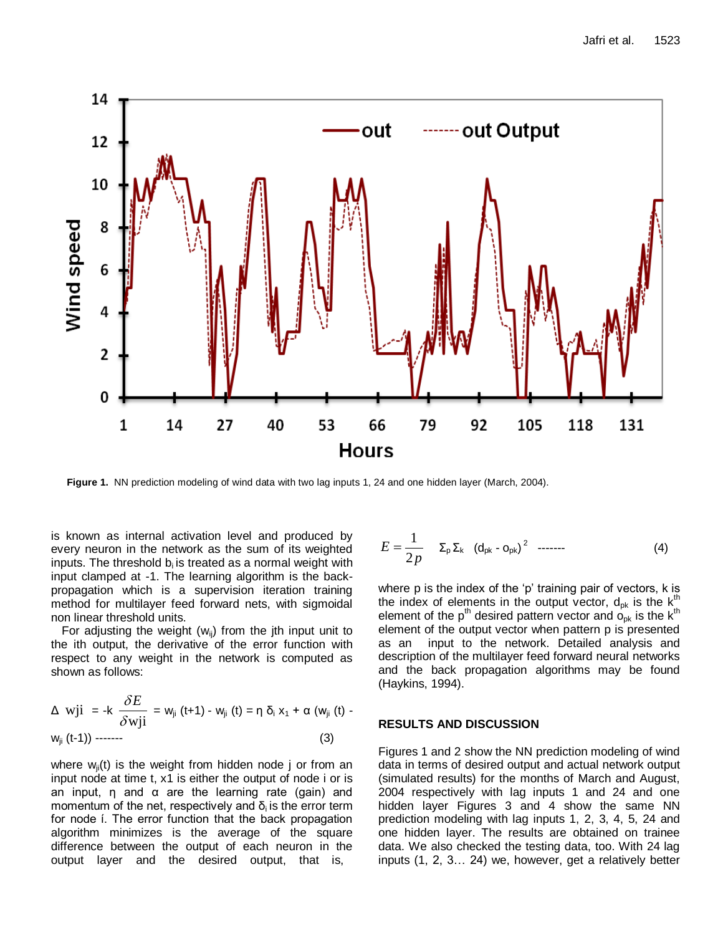

**Figure 1.** NN prediction modeling of wind data with two lag inputs 1, 24 and one hidden layer (March, 2004).

is known as internal activation level and produced by every neuron in the network as the sum of its weighted inputs. The threshold  $b_i$  is treated as a normal weight with input clamped at -1. The learning algorithm is the backpropagation which is a supervision iteration training method for multilayer feed forward nets, with sigmoidal non linear threshold units.

For adjusting the weight ( $w_{ii}$ ) from the jth input unit to the ith output, the derivative of the error function with respect to any weight in the network is computed as shown as follows:

$$
\Delta \text{ wji } = -k \frac{\delta E}{\delta \text{ wji}} = \text{w}_{ji} (t+1) - \text{w}_{ji} (t) = \eta \delta_i x_1 + \alpha (w_{ji} (t) - w_{ji} (t-1)) \tag{3}
$$

where  $w_{ij}(t)$  is the weight from hidden node j or from an input node at time t, x1 is either the output of node i or is an input,  $\eta$  and  $\alpha$  are the learning rate (gain) and momentum of the net, respectively and  $\delta_i$  is the error term for node ί. The error function that the back propagation algorithm minimizes is the average of the square difference between the output of each neuron in the output layer and the desired output, that is,

$$
E = \frac{1}{2p} \sum_{\rho} \Sigma_{\kappa} (d_{\rho k} - o_{\rho k})^{2} \dots \qquad (4)
$$

where p is the index of the 'p' training pair of vectors, k is the index of elements in the output vector,  $d_{pk}$  is the  $k<sup>th</sup>$ element of the  $p^{th}$  desired pattern vector and  $o_{pk}$  is the  $k^{th}$ element of the output vector when pattern p is presented as an input to the network. Detailed analysis and description of the multilayer feed forward neural networks and the back propagation algorithms may be found (Haykins, 1994).

#### **RESULTS AND DISCUSSION**

Figures 1 and 2 show the NN prediction modeling of wind data in terms of desired output and actual network output (simulated results) for the months of March and August, 2004 respectively with lag inputs 1 and 24 and one hidden layer Figures 3 and 4 show the same NN prediction modeling with lag inputs 1, 2, 3, 4, 5, 24 and one hidden layer. The results are obtained on trainee data. We also checked the testing data, too. With 24 lag inputs (1, 2, 3… 24) we, however, get a relatively better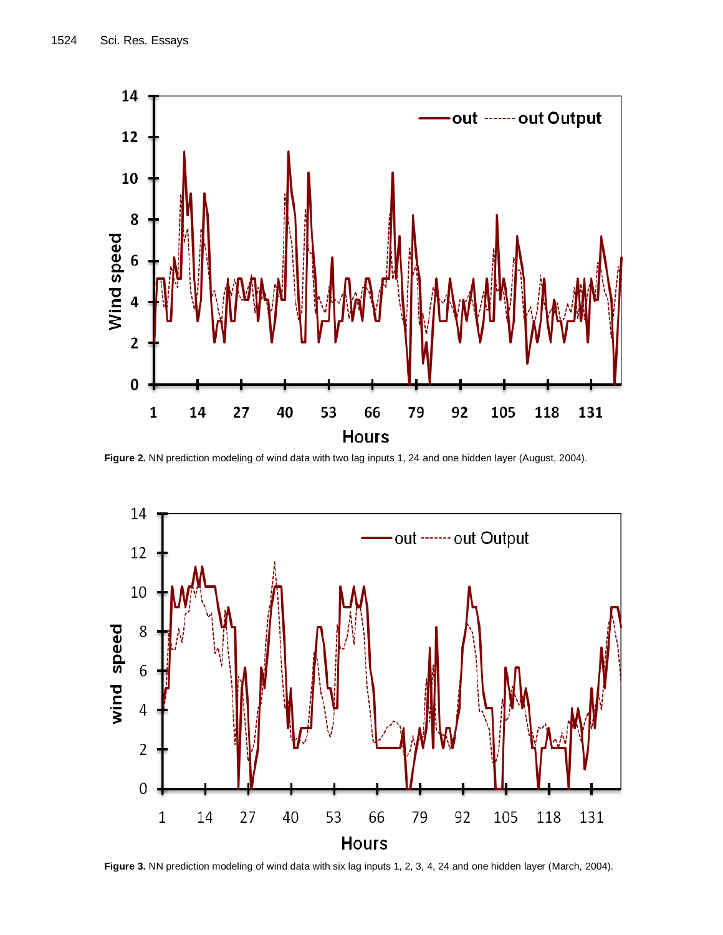

**Figure 2.** NN prediction modeling of wind data with two lag inputs 1, 24 and one hidden layer (August, 2004).



**Figure 3.** NN prediction modeling of wind data with six lag inputs 1, 2, 3, 4, 24 and one hidden layer (March, 2004).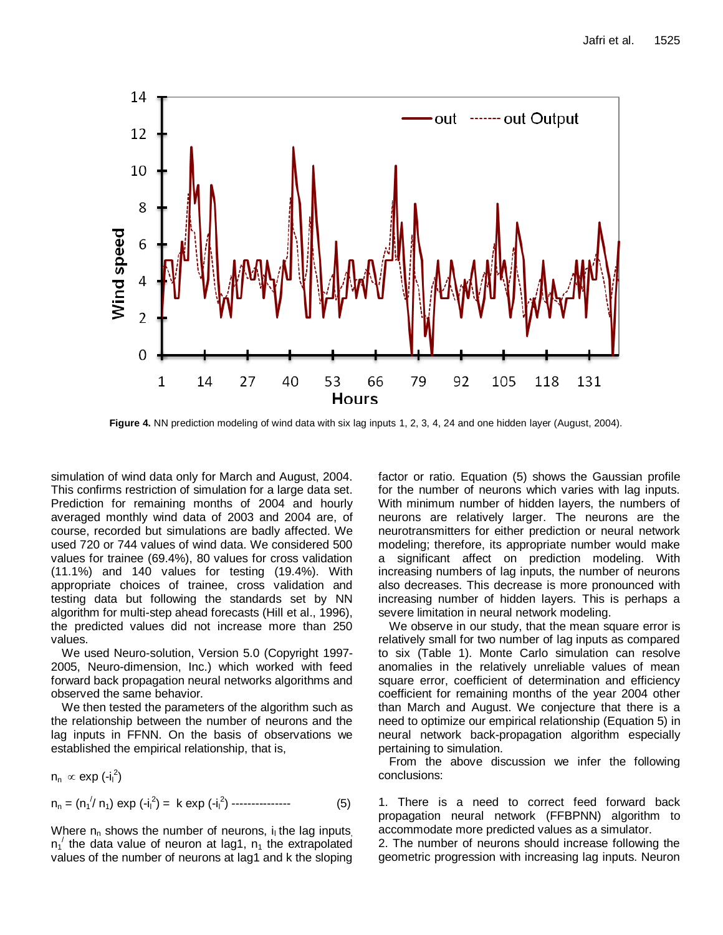

**Figure 4.** NN prediction modeling of wind data with six lag inputs 1, 2, 3, 4, 24 and one hidden layer (August, 2004).

simulation of wind data only for March and August, 2004. This confirms restriction of simulation for a large data set. Prediction for remaining months of 2004 and hourly averaged monthly wind data of 2003 and 2004 are, of course, recorded but simulations are badly affected. We used 720 or 744 values of wind data. We considered 500 values for trainee (69.4%), 80 values for cross validation (11.1%) and 140 values for testing (19.4%). With appropriate choices of trainee, cross validation and testing data but following the standards set by NN algorithm for multi-step ahead forecasts (Hill et al., 1996), the predicted values did not increase more than 250 values.

We used Neuro-solution, Version 5.0 (Copyright 1997- 2005, Neuro-dimension, Inc.) which worked with feed forward back propagation neural networks algorithms and observed the same behavior.

We then tested the parameters of the algorithm such as the relationship between the number of neurons and the lag inputs in FFNN. On the basis of observations we established the empirical relationship, that is,

$$
n_n \propto \exp\left(-i_1^2\right)
$$
  
\n
$$
n_n = (n_1^{1/2} n_1) \exp\left(-i_1^2\right) = k \exp\left(-i_1^2\right) \dots \dots \dots \dots \dots \dots \tag{5}
$$

Where  $n_n$  shows the number of neurons,  $i_1$  the lag inputs,  $n_1$ <sup>'</sup> the data value of neuron at lag1,  $n_1$  the extrapolated values of the number of neurons at lag1 and k the sloping

factor or ratio. Equation (5) shows the Gaussian profile for the number of neurons which varies with lag inputs. With minimum number of hidden layers, the numbers of neurons are relatively larger. The neurons are the neurotransmitters for either prediction or neural network modeling; therefore, its appropriate number would make a significant affect on prediction modeling. With increasing numbers of lag inputs, the number of neurons also decreases. This decrease is more pronounced with increasing number of hidden layers. This is perhaps a severe limitation in neural network modeling.

We observe in our study, that the mean square error is relatively small for two number of lag inputs as compared to six (Table 1). Monte Carlo simulation can resolve anomalies in the relatively unreliable values of mean square error, coefficient of determination and efficiency coefficient for remaining months of the year 2004 other than March and August. We conjecture that there is a need to optimize our empirical relationship (Equation 5) in neural network back-propagation algorithm especially pertaining to simulation.

From the above discussion we infer the following conclusions:

1. There is a need to correct feed forward back propagation neural network (FFBPNN) algorithm to accommodate more predicted values as a simulator.

2. The number of neurons should increase following the geometric progression with increasing lag inputs. Neuron